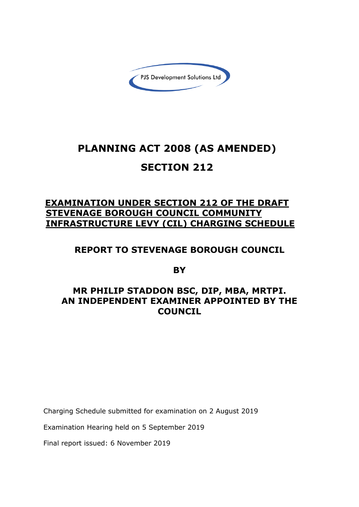

# **PLANNING ACT 2008 (AS AMENDED) SECTION 212**

# **EXAMINATION UNDER SECTION 212 OF THE DRAFT STEVENAGE BOROUGH COUNCIL COMMUNITY INFRASTRUCTURE LEVY (CIL) CHARGING SCHEDULE**

# **REPORT TO STEVENAGE BOROUGH COUNCIL**

**BY**

# **MR PHILIP STADDON BSC, DIP, MBA, MRTPI. AN INDEPENDENT EXAMINER APPOINTED BY THE COUNCIL**

Charging Schedule submitted for examination on 2 August 2019

Examination Hearing held on 5 September 2019

Final report issued: 6 November 2019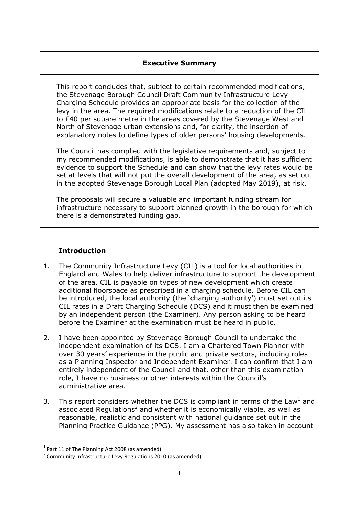### **Executive Summary**

This report concludes that, subject to certain recommended modifications, the Stevenage Borough Council Draft Community Infrastructure Levy Charging Schedule provides an appropriate basis for the collection of the levy in the area. The required modifications relate to a reduction of the CIL to £40 per square metre in the areas covered by the Stevenage West and North of Stevenage urban extensions and, for clarity, the insertion of explanatory notes to define types of older persons' housing developments.

The Council has complied with the legislative requirements and, subject to my recommended modifications, is able to demonstrate that it has sufficient evidence to support the Schedule and can show that the levy rates would be set at levels that will not put the overall development of the area, as set out in the adopted Stevenage Borough Local Plan (adopted May 2019), at risk.

The proposals will secure a valuable and important funding stream for infrastructure necessary to support planned growth in the borough for which there is a demonstrated funding gap.

## **Introduction**

- 1. The Community Infrastructure Levy (CIL) is a tool for local authorities in England and Wales to help deliver infrastructure to support the development of the area. CIL is payable on types of new development which create additional floorspace as prescribed in a charging schedule. Before CIL can be introduced, the local authority (the 'charging authority') must set out its CIL rates in a Draft Charging Schedule (DCS) and it must then be examined by an independent person (the Examiner). Any person asking to be heard before the Examiner at the examination must be heard in public.
- 2. I have been appointed by Stevenage Borough Council to undertake the independent examination of its DCS. I am a Chartered Town Planner with over 30 years' experience in the public and private sectors, including roles as a Planning Inspector and Independent Examiner. I can confirm that I am entirely independent of the Council and that, other than this examination role, I have no business or other interests within the Council's administrative area.
- 3. This report considers whether the DCS is compliant in terms of the Law<sup>1</sup> and associated Regulations<sup>2</sup> and whether it is economically viable, as well as reasonable, realistic and consistent with national guidance set out in the Planning Practice Guidance (PPG). My assessment has also taken in account

**.** 

 $<sup>1</sup>$  Part 11 of The Planning Act 2008 (as amended)</sup>

<sup>&</sup>lt;sup>2</sup> Community Infrastructure Levy Regulations 2010 (as amended)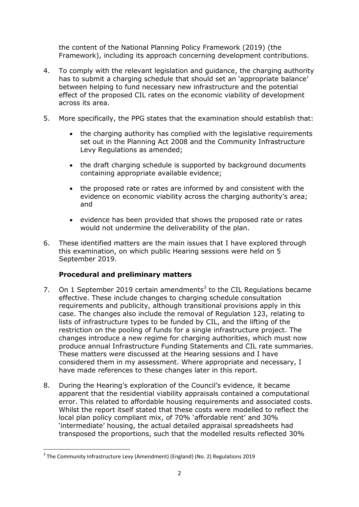the content of the National Planning Policy Framework (2019) (the Framework), including its approach concerning development contributions.

- 4. To comply with the relevant legislation and guidance, the charging authority has to submit a charging schedule that should set an 'appropriate balance' between helping to fund necessary new infrastructure and the potential effect of the proposed CIL rates on the economic viability of development across its area.
- 5. More specifically, the PPG states that the examination should establish that:
	- the charging authority has complied with the legislative requirements set out in the Planning Act 2008 and the Community Infrastructure Levy Regulations as amended;
	- the draft charging schedule is supported by background documents containing appropriate available evidence;
	- the proposed rate or rates are informed by and consistent with the evidence on economic viability across the charging authority's area; and
	- evidence has been provided that shows the proposed rate or rates would not undermine the deliverability of the plan.
- 6. These identified matters are the main issues that I have explored through this examination, on which public Hearing sessions were held on 5 September 2019.

## **Procedural and preliminary matters**

- 7. On 1 September 2019 certain amendments<sup>3</sup> to the CIL Regulations became effective. These include changes to charging schedule consultation requirements and publicity, although transitional provisions apply in this case. The changes also include the removal of Regulation 123, relating to lists of infrastructure types to be funded by CIL, and the lifting of the restriction on the pooling of funds for a single infrastructure project. The changes introduce a new regime for charging authorities, which must now produce annual Infrastructure Funding Statements and CIL rate summaries. These matters were discussed at the Hearing sessions and I have considered them in my assessment. Where appropriate and necessary, I have made references to these changes later in this report.
- 8. During the Hearing's exploration of the Council's evidence, it became apparent that the residential viability appraisals contained a computational error. This related to affordable housing requirements and associated costs. Whilst the report itself stated that these costs were modelled to reflect the local plan policy compliant mix, of 70% 'affordable rent' and 30% 'intermediate' housing, the actual detailed appraisal spreadsheets had transposed the proportions, such that the modelled results reflected 30%

**.** 

<sup>&</sup>lt;sup>3</sup> The Community Infrastructure Levy (Amendment) (England) (No. 2) Regulations 2019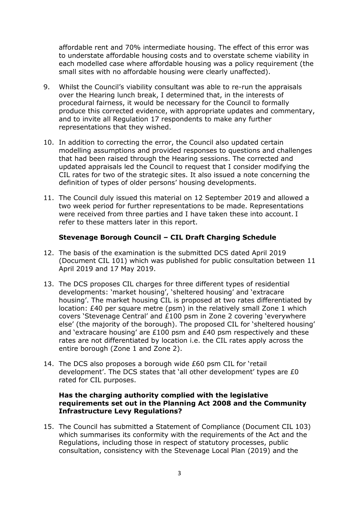affordable rent and 70% intermediate housing. The effect of this error was to understate affordable housing costs and to overstate scheme viability in each modelled case where affordable housing was a policy requirement (the small sites with no affordable housing were clearly unaffected).

- 9. Whilst the Council's viability consultant was able to re-run the appraisals over the Hearing lunch break, I determined that, in the interests of procedural fairness, it would be necessary for the Council to formally produce this corrected evidence, with appropriate updates and commentary, and to invite all Regulation 17 respondents to make any further representations that they wished.
- 10. In addition to correcting the error, the Council also updated certain modelling assumptions and provided responses to questions and challenges that had been raised through the Hearing sessions. The corrected and updated appraisals led the Council to request that I consider modifying the CIL rates for two of the strategic sites. It also issued a note concerning the definition of types of older persons' housing developments.
- 11. The Council duly issued this material on 12 September 2019 and allowed a two week period for further representations to be made. Representations were received from three parties and I have taken these into account. I refer to these matters later in this report.

#### **Stevenage Borough Council – CIL Draft Charging Schedule**

- 12. The basis of the examination is the submitted DCS dated April 2019 (Document CIL 101) which was published for public consultation between 11 April 2019 and 17 May 2019.
- 13. The DCS proposes CIL charges for three different types of residential developments: 'market housing', 'sheltered housing' and 'extracare housing'. The market housing CIL is proposed at two rates differentiated by location: £40 per square metre (psm) in the relatively small Zone 1 which covers 'Stevenage Central' and £100 psm in Zone 2 covering 'everywhere else' (the majority of the borough). The proposed CIL for 'sheltered housing' and 'extracare housing' are £100 psm and £40 psm respectively and these rates are not differentiated by location i.e. the CIL rates apply across the entire borough (Zone 1 and Zone 2).
- 14. The DCS also proposes a borough wide £60 psm CIL for 'retail development'. The DCS states that 'all other development' types are £0 rated for CIL purposes.

#### **Has the charging authority complied with the legislative requirements set out in the Planning Act 2008 and the Community Infrastructure Levy Regulations?**

15. The Council has submitted a Statement of Compliance (Document CIL 103) which summarises its conformity with the requirements of the Act and the Regulations, including those in respect of statutory processes, public consultation, consistency with the Stevenage Local Plan (2019) and the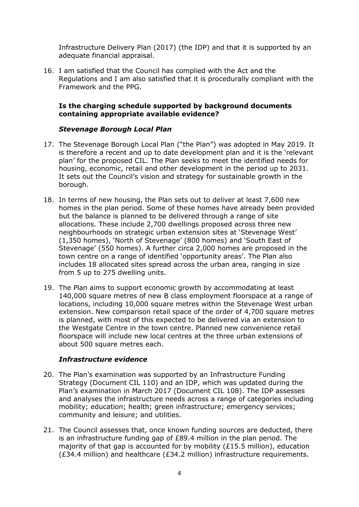Infrastructure Delivery Plan (2017) (the IDP) and that it is supported by an adequate financial appraisal.

16. I am satisfied that the Council has complied with the Act and the Regulations and I am also satisfied that it is procedurally compliant with the Framework and the PPG.

#### **Is the charging schedule supported by background documents containing appropriate available evidence?**

#### *Stevenage Borough Local Plan*

- 17. The Stevenage Borough Local Plan ("the Plan") was adopted in May 2019. It is therefore a recent and up to date development plan and it is the 'relevant plan' for the proposed CIL. The Plan seeks to meet the identified needs for housing, economic, retail and other development in the period up to 2031. It sets out the Council's vision and strategy for sustainable growth in the borough.
- 18. In terms of new housing, the Plan sets out to deliver at least 7,600 new homes in the plan period. Some of these homes have already been provided but the balance is planned to be delivered through a range of site allocations. These include 2,700 dwellings proposed across three new neighbourhoods on strategic urban extension sites at 'Stevenage West' (1,350 homes), 'North of Stevenage' (800 homes) and 'South East of Stevenage' (550 homes). A further circa 2,000 homes are proposed in the town centre on a range of identified 'opportunity areas'. The Plan also includes 18 allocated sites spread across the urban area, ranging in size from 5 up to 275 dwelling units.
- 19. The Plan aims to support economic growth by accommodating at least 140,000 square metres of new B class employment floorspace at a range of locations, including 10,000 square metres within the Stevenage West urban extension. New comparison retail space of the order of 4,700 square metres is planned, with most of this expected to be delivered via an extension to the Westgate Centre in the town centre. Planned new convenience retail floorspace will include new local centres at the three urban extensions of about 500 square metres each.

## *Infrastructure evidence*

- 20. The Plan's examination was supported by an Infrastructure Funding Strategy (Document CIL 110) and an IDP, which was updated during the Plan's examination in March 2017 (Document CIL 108). The IDP assesses and analyses the infrastructure needs across a range of categories including mobility; education; health; green infrastructure; emergency services; community and leisure; and utilities.
- 21. The Council assesses that, once known funding sources are deducted, there is an infrastructure funding gap of £89.4 million in the plan period. The majority of that gap is accounted for by mobility (£15.5 million), education (£34.4 million) and healthcare (£34.2 million) infrastructure requirements.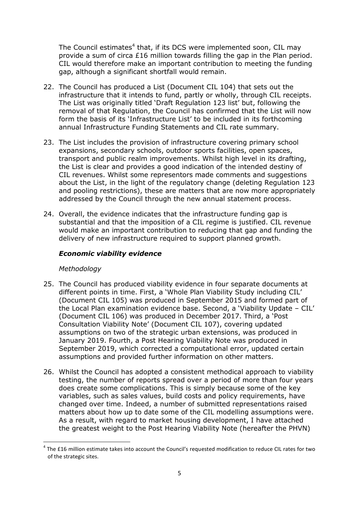The Council estimates<sup>4</sup> that, if its DCS were implemented soon, CIL may provide a sum of circa £16 million towards filling the gap in the Plan period. CIL would therefore make an important contribution to meeting the funding gap, although a significant shortfall would remain.

- 22. The Council has produced a List (Document CIL 104) that sets out the infrastructure that it intends to fund, partly or wholly, through CIL receipts. The List was originally titled 'Draft Regulation 123 list' but, following the removal of that Regulation, the Council has confirmed that the List will now form the basis of its 'Infrastructure List' to be included in its forthcoming annual Infrastructure Funding Statements and CIL rate summary.
- 23. The List includes the provision of infrastructure covering primary school expansions, secondary schools, outdoor sports facilities, open spaces, transport and public realm improvements. Whilst high level in its drafting, the List is clear and provides a good indication of the intended destiny of CIL revenues. Whilst some representors made comments and suggestions about the List, in the light of the regulatory change (deleting Regulation 123 and pooling restrictions), these are matters that are now more appropriately addressed by the Council through the new annual statement process.
- 24. Overall, the evidence indicates that the infrastructure funding gap is substantial and that the imposition of a CIL regime is justified. CIL revenue would make an important contribution to reducing that gap and funding the delivery of new infrastructure required to support planned growth.

### *Economic viability evidence*

#### *Methodology*

**.** 

- 25. The Council has produced viability evidence in four separate documents at different points in time. First, a 'Whole Plan Viability Study including CIL' (Document CIL 105) was produced in September 2015 and formed part of the Local Plan examination evidence base. Second, a 'Viability Update – CIL' (Document CIL 106) was produced in December 2017. Third, a 'Post Consultation Viability Note' (Document CIL 107), covering updated assumptions on two of the strategic urban extensions, was produced in January 2019. Fourth, a Post Hearing Viability Note was produced in September 2019, which corrected a computational error, updated certain assumptions and provided further information on other matters.
- 26. Whilst the Council has adopted a consistent methodical approach to viability testing, the number of reports spread over a period of more than four years does create some complications. This is simply because some of the key variables, such as sales values, build costs and policy requirements, have changed over time. Indeed, a number of submitted representations raised matters about how up to date some of the CIL modelling assumptions were. As a result, with regard to market housing development, I have attached the greatest weight to the Post Hearing Viability Note (hereafter the PHVN)

 $<sup>4</sup>$  The £16 million estimate takes into account the Council's requested modification to reduce CIL rates for two</sup> of the strategic sites.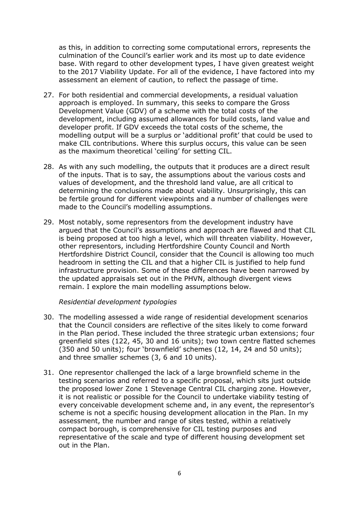as this, in addition to correcting some computational errors, represents the culmination of the Council's earlier work and its most up to date evidence base. With regard to other development types, I have given greatest weight to the 2017 Viability Update. For all of the evidence, I have factored into my assessment an element of caution, to reflect the passage of time.

- 27. For both residential and commercial developments, a residual valuation approach is employed. In summary, this seeks to compare the Gross Development Value (GDV) of a scheme with the total costs of the development, including assumed allowances for build costs, land value and developer profit. If GDV exceeds the total costs of the scheme, the modelling output will be a surplus or 'additional profit' that could be used to make CIL contributions. Where this surplus occurs, this value can be seen as the maximum theoretical 'ceiling' for setting CIL.
- 28. As with any such modelling, the outputs that it produces are a direct result of the inputs. That is to say, the assumptions about the various costs and values of development, and the threshold land value, are all critical to determining the conclusions made about viability. Unsurprisingly, this can be fertile ground for different viewpoints and a number of challenges were made to the Council's modelling assumptions.
- 29. Most notably, some representors from the development industry have argued that the Council's assumptions and approach are flawed and that CIL is being proposed at too high a level, which will threaten viability. However, other representors, including Hertfordshire County Council and North Hertfordshire District Council, consider that the Council is allowing too much headroom in setting the CIL and that a higher CIL is justified to help fund infrastructure provision. Some of these differences have been narrowed by the updated appraisals set out in the PHVN, although divergent views remain. I explore the main modelling assumptions below.

#### *Residential development typologies*

- 30. The modelling assessed a wide range of residential development scenarios that the Council considers are reflective of the sites likely to come forward in the Plan period. These included the three strategic urban extensions; four greenfield sites (122, 45, 30 and 16 units); two town centre flatted schemes (350 and 50 units); four 'brownfield' schemes (12, 14, 24 and 50 units); and three smaller schemes (3, 6 and 10 units).
- 31. One representor challenged the lack of a large brownfield scheme in the testing scenarios and referred to a specific proposal, which sits just outside the proposed lower Zone 1 Stevenage Central CIL charging zone. However, it is not realistic or possible for the Council to undertake viability testing of every conceivable development scheme and, in any event, the representor's scheme is not a specific housing development allocation in the Plan. In my assessment, the number and range of sites tested, within a relatively compact borough, is comprehensive for CIL testing purposes and representative of the scale and type of different housing development set out in the Plan.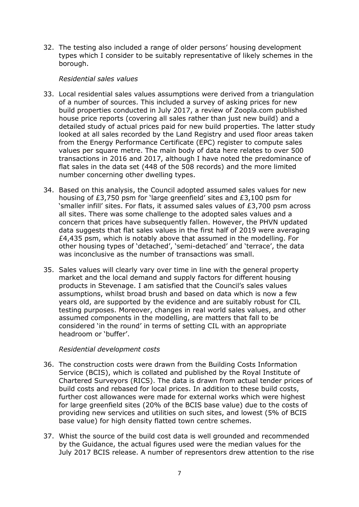32. The testing also included a range of older persons' housing development types which I consider to be suitably representative of likely schemes in the borough.

#### *Residential sales values*

- 33. Local residential sales values assumptions were derived from a triangulation of a number of sources. This included a survey of asking prices for new build properties conducted in July 2017, a review of Zoopla.com published house price reports (covering all sales rather than just new build) and a detailed study of actual prices paid for new build properties. The latter study looked at all sales recorded by the Land Registry and used floor areas taken from the Energy Performance Certificate (EPC) register to compute sales values per square metre. The main body of data here relates to over 500 transactions in 2016 and 2017, although I have noted the predominance of flat sales in the data set (448 of the 508 records) and the more limited number concerning other dwelling types.
- 34. Based on this analysis, the Council adopted assumed sales values for new housing of £3,750 psm for 'large greenfield' sites and £3,100 psm for 'smaller infill' sites. For flats, it assumed sales values of £3,700 psm across all sites. There was some challenge to the adopted sales values and a concern that prices have subsequently fallen. However, the PHVN updated data suggests that flat sales values in the first half of 2019 were averaging  $£4,435$  psm, which is notably above that assumed in the modelling. For other housing types of 'detached', 'semi-detached' and 'terrace', the data was inconclusive as the number of transactions was small.
- 35. Sales values will clearly vary over time in line with the general property market and the local demand and supply factors for different housing products in Stevenage. I am satisfied that the Council's sales values assumptions, whilst broad brush and based on data which is now a few years old, are supported by the evidence and are suitably robust for CIL testing purposes. Moreover, changes in real world sales values, and other assumed components in the modelling, are matters that fall to be considered 'in the round' in terms of setting CIL with an appropriate headroom or 'buffer'.

#### *Residential development costs*

- 36. The construction costs were drawn from the Building Costs Information Service (BCIS), which is collated and published by the Royal Institute of Chartered Surveyors (RICS). The data is drawn from actual tender prices of build costs and rebased for local prices. In addition to these build costs, further cost allowances were made for external works which were highest for large greenfield sites (20% of the BCIS base value) due to the costs of providing new services and utilities on such sites, and lowest (5% of BCIS base value) for high density flatted town centre schemes.
- 37. Whist the source of the build cost data is well grounded and recommended by the Guidance, the actual figures used were the median values for the July 2017 BCIS release. A number of representors drew attention to the rise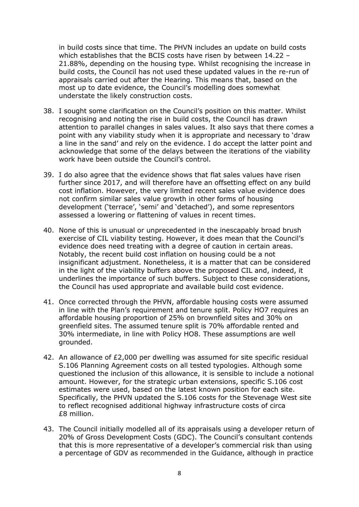in build costs since that time. The PHVN includes an update on build costs which establishes that the BCIS costs have risen by between 14.22 – 21.88%, depending on the housing type. Whilst recognising the increase in build costs, the Council has not used these updated values in the re-run of appraisals carried out after the Hearing. This means that, based on the most up to date evidence, the Council's modelling does somewhat understate the likely construction costs.

- 38. I sought some clarification on the Council's position on this matter. Whilst recognising and noting the rise in build costs, the Council has drawn attention to parallel changes in sales values. It also says that there comes a point with any viability study when it is appropriate and necessary to 'draw a line in the sand' and rely on the evidence. I do accept the latter point and acknowledge that some of the delays between the iterations of the viability work have been outside the Council's control.
- 39. I do also agree that the evidence shows that flat sales values have risen further since 2017, and will therefore have an offsetting effect on any build cost inflation. However, the very limited recent sales value evidence does not confirm similar sales value growth in other forms of housing development ('terrace', 'semi' and 'detached'), and some representors assessed a lowering or flattening of values in recent times.
- 40. None of this is unusual or unprecedented in the inescapably broad brush exercise of CIL viability testing. However, it does mean that the Council's evidence does need treating with a degree of caution in certain areas. Notably, the recent build cost inflation on housing could be a not insignificant adjustment. Nonetheless, it is a matter that can be considered in the light of the viability buffers above the proposed CIL and, indeed, it underlines the importance of such buffers. Subject to these considerations, the Council has used appropriate and available build cost evidence.
- 41. Once corrected through the PHVN, affordable housing costs were assumed in line with the Plan's requirement and tenure split. Policy HO7 requires an affordable housing proportion of 25% on brownfield sites and 30% on greenfield sites. The assumed tenure split is 70% affordable rented and 30% intermediate, in line with Policy HO8. These assumptions are well grounded.
- 42. An allowance of £2,000 per dwelling was assumed for site specific residual S.106 Planning Agreement costs on all tested typologies. Although some questioned the inclusion of this allowance, it is sensible to include a notional amount. However, for the strategic urban extensions, specific S.106 cost estimates were used, based on the latest known position for each site. Specifically, the PHVN updated the S.106 costs for the Stevenage West site to reflect recognised additional highway infrastructure costs of circa £8 million.
- 43. The Council initially modelled all of its appraisals using a developer return of 20% of Gross Development Costs (GDC). The Council's consultant contends that this is more representative of a developer's commercial risk than using a percentage of GDV as recommended in the Guidance, although in practice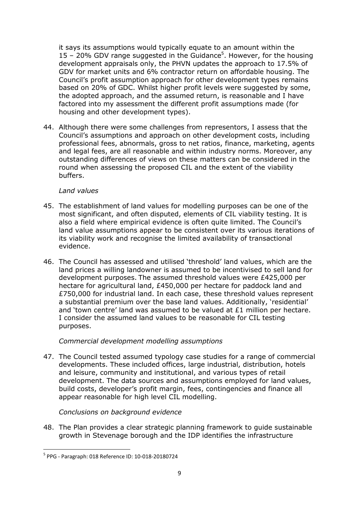it says its assumptions would typically equate to an amount within the 15 – 20% GDV range suggested in the Guidance<sup>5</sup>. However, for the housing development appraisals only, the PHVN updates the approach to 17.5% of GDV for market units and 6% contractor return on affordable housing. The Council's profit assumption approach for other development types remains based on 20% of GDC. Whilst higher profit levels were suggested by some, the adopted approach, and the assumed return, is reasonable and I have factored into my assessment the different profit assumptions made (for housing and other development types).

44. Although there were some challenges from representors, I assess that the Council's assumptions and approach on other development costs, including professional fees, abnormals, gross to net ratios, finance, marketing, agents and legal fees, are all reasonable and within industry norms. Moreover, any outstanding differences of views on these matters can be considered in the round when assessing the proposed CIL and the extent of the viability buffers.

#### *Land values*

- 45. The establishment of land values for modelling purposes can be one of the most significant, and often disputed, elements of CIL viability testing. It is also a field where empirical evidence is often quite limited. The Council's land value assumptions appear to be consistent over its various iterations of its viability work and recognise the limited availability of transactional evidence.
- 46. The Council has assessed and utilised 'threshold' land values, which are the land prices a willing landowner is assumed to be incentivised to sell land for development purposes. The assumed threshold values were £425,000 per hectare for agricultural land, £450,000 per hectare for paddock land and £750,000 for industrial land. In each case, these threshold values represent a substantial premium over the base land values. Additionally, 'residential' and 'town centre' land was assumed to be valued at £1 million per hectare. I consider the assumed land values to be reasonable for CIL testing purposes.

#### *Commercial development modelling assumptions*

47. The Council tested assumed typology case studies for a range of commercial developments. These included offices, large industrial, distribution, hotels and leisure, community and institutional, and various types of retail development. The data sources and assumptions employed for land values, build costs, developer's profit margin, fees, contingencies and finance all appear reasonable for high level CIL modelling.

#### *Conclusions on background evidence*

48. The Plan provides a clear strategic planning framework to guide sustainable growth in Stevenage borough and the IDP identifies the infrastructure

**<sup>.</sup>** 5 PPG - Paragraph: 018 Reference ID: 10-018-20180724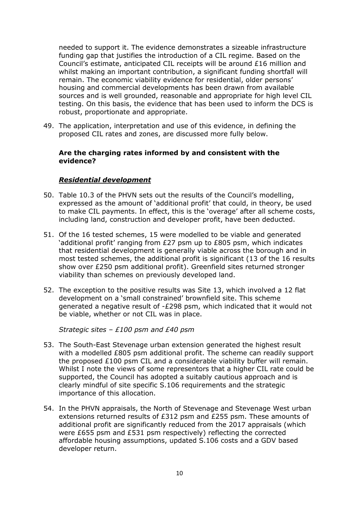needed to support it. The evidence demonstrates a sizeable infrastructure funding gap that justifies the introduction of a CIL regime. Based on the Council's estimate, anticipated CIL receipts will be around £16 million and whilst making an important contribution, a significant funding shortfall will remain. The economic viability evidence for residential, older persons' housing and commercial developments has been drawn from available sources and is well grounded, reasonable and appropriate for high level CIL testing. On this basis, the evidence that has been used to inform the DCS is robust, proportionate and appropriate.

49. The application, interpretation and use of this evidence, in defining the proposed CIL rates and zones, are discussed more fully below.

#### **Are the charging rates informed by and consistent with the evidence?**

#### *Residential development*

- 50. Table 10.3 of the PHVN sets out the results of the Council's modelling, expressed as the amount of 'additional profit' that could, in theory, be used to make CIL payments. In effect, this is the 'overage' after all scheme costs, including land, construction and developer profit, have been deducted.
- 51. Of the 16 tested schemes, 15 were modelled to be viable and generated 'additional profit' ranging from £27 psm up to £805 psm, which indicates that residential development is generally viable across the borough and in most tested schemes, the additional profit is significant (13 of the 16 results show over £250 psm additional profit). Greenfield sites returned stronger viability than schemes on previously developed land.
- 52. The exception to the positive results was Site 13, which involved a 12 flat development on a 'small constrained' brownfield site. This scheme generated a negative result of -£298 psm, which indicated that it would not be viable, whether or not CIL was in place.

*Strategic sites – £100 psm and £40 psm*

- 53. The South-East Stevenage urban extension generated the highest result with a modelled £805 psm additional profit. The scheme can readily support the proposed £100 psm CIL and a considerable viability buffer will remain. Whilst I note the views of some representors that a higher CIL rate could be supported, the Council has adopted a suitably cautious approach and is clearly mindful of site specific S.106 requirements and the strategic importance of this allocation.
- 54. In the PHVN appraisals, the North of Stevenage and Stevenage West urban extensions returned results of £312 psm and £255 psm. These amounts of additional profit are significantly reduced from the 2017 appraisals (which were £655 psm and £531 psm respectively) reflecting the corrected affordable housing assumptions, updated S.106 costs and a GDV based developer return.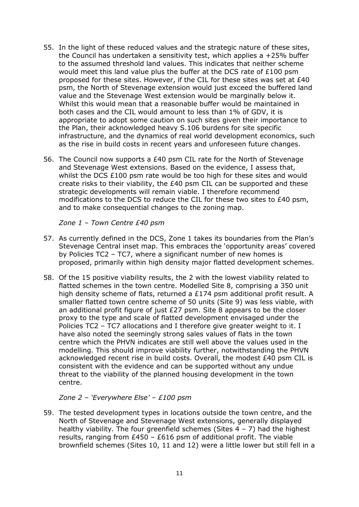- 55. In the light of these reduced values and the strategic nature of these sites, the Council has undertaken a sensitivity test, which applies a +25% buffer to the assumed threshold land values. This indicates that neither scheme would meet this land value plus the buffer at the DCS rate of £100 psm proposed for these sites. However, if the CIL for these sites was set at £40 psm, the North of Stevenage extension would just exceed the buffered land value and the Stevenage West extension would be marginally below it. Whilst this would mean that a reasonable buffer would be maintained in both cases and the CIL would amount to less than 1% of GDV, it is appropriate to adopt some caution on such sites given their importance to the Plan, their acknowledged heavy S.106 burdens for site specific infrastructure, and the dynamics of real world development economics, such as the rise in build costs in recent years and unforeseen future changes.
- 56. The Council now supports a £40 psm CIL rate for the North of Stevenage and Stevenage West extensions. Based on the evidence, I assess that, whilst the DCS £100 psm rate would be too high for these sites and would create risks to their viability, the £40 psm CIL can be supported and these strategic developments will remain viable. I therefore recommend modifications to the DCS to reduce the CIL for these two sites to £40 psm, and to make consequential changes to the zoning map.

#### *Zone 1 – Town Centre £40 psm*

- 57. As currently defined in the DCS, Zone 1 takes its boundaries from the Plan's Stevenage Central inset map. This embraces the 'opportunity areas' covered by Policies TC2 – TC7, where a significant number of new homes is proposed, primarily within high density major flatted development schemes.
- 58. Of the 15 positive viability results, the 2 with the lowest viability related to flatted schemes in the town centre. Modelled Site 8, comprising a 350 unit high density scheme of flats, returned a £174 psm additional profit result. A smaller flatted town centre scheme of 50 units (Site 9) was less viable, with an additional profit figure of just £27 psm. Site 8 appears to be the closer proxy to the type and scale of flatted development envisaged under the Policies TC2 - TC7 allocations and I therefore give greater weight to it. I have also noted the seemingly strong sales values of flats in the town centre which the PHVN indicates are still well above the values used in the modelling. This should improve viability further, notwithstanding the PHVN acknowledged recent rise in build costs. Overall, the modest £40 psm CIL is consistent with the evidence and can be supported without any undue threat to the viability of the planned housing development in the town centre.

#### *Zone 2 – 'Everywhere Else' – £100 psm*

59. The tested development types in locations outside the town centre, and the North of Stevenage and Stevenage West extensions, generally displayed healthy viability. The four greenfield schemes (Sites  $4 - 7$ ) had the highest results, ranging from £450 – £616 psm of additional profit. The viable brownfield schemes (Sites 10, 11 and 12) were a little lower but still fell in a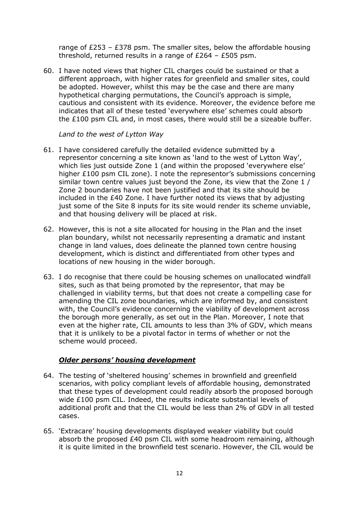range of  $E253 - E378$  psm. The smaller sites, below the affordable housing threshold, returned results in a range of £264 – £505 psm.

60. I have noted views that higher CIL charges could be sustained or that a different approach, with higher rates for greenfield and smaller sites, could be adopted. However, whilst this may be the case and there are many hypothetical charging permutations, the Council's approach is simple, cautious and consistent with its evidence. Moreover, the evidence before me indicates that all of these tested 'everywhere else' schemes could absorb the £100 psm CIL and, in most cases, there would still be a sizeable buffer.

#### *Land to the west of Lytton Way*

- 61. I have considered carefully the detailed evidence submitted by a representor concerning a site known as 'land to the west of Lytton Way', which lies just outside Zone 1 (and within the proposed 'everywhere else' higher £100 psm CIL zone). I note the representor's submissions concerning similar town centre values just beyond the Zone, its view that the Zone 1 / Zone 2 boundaries have not been justified and that its site should be included in the £40 Zone. I have further noted its views that by adjusting just some of the Site 8 inputs for its site would render its scheme unviable, and that housing delivery will be placed at risk.
- 62. However, this is not a site allocated for housing in the Plan and the inset plan boundary, whilst not necessarily representing a dramatic and instant change in land values, does delineate the planned town centre housing development, which is distinct and differentiated from other types and locations of new housing in the wider borough.
- 63. I do recognise that there could be housing schemes on unallocated windfall sites, such as that being promoted by the representor, that may be challenged in viability terms, but that does not create a compelling case for amending the CIL zone boundaries, which are informed by, and consistent with, the Council's evidence concerning the viability of development across the borough more generally, as set out in the Plan. Moreover, I note that even at the higher rate, CIL amounts to less than 3% of GDV, which means that it is unlikely to be a pivotal factor in terms of whether or not the scheme would proceed.

#### *Older persons' housing development*

- 64. The testing of 'sheltered housing' schemes in brownfield and greenfield scenarios, with policy compliant levels of affordable housing, demonstrated that these types of development could readily absorb the proposed borough wide £100 psm CIL. Indeed, the results indicate substantial levels of additional profit and that the CIL would be less than 2% of GDV in all tested cases.
- 65. 'Extracare' housing developments displayed weaker viability but could absorb the proposed £40 psm CIL with some headroom remaining, although it is quite limited in the brownfield test scenario. However, the CIL would be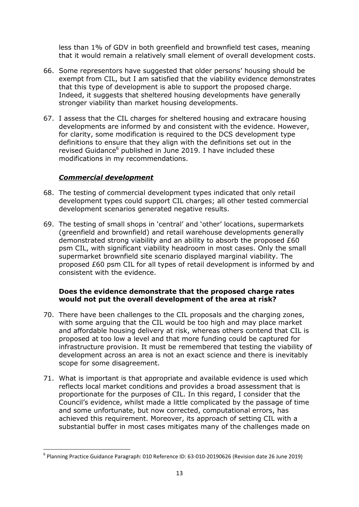less than 1% of GDV in both greenfield and brownfield test cases, meaning that it would remain a relatively small element of overall development costs.

- 66. Some representors have suggested that older persons' housing should be exempt from CIL, but I am satisfied that the viability evidence demonstrates that this type of development is able to support the proposed charge. Indeed, it suggests that sheltered housing developments have generally stronger viability than market housing developments.
- 67. I assess that the CIL charges for sheltered housing and extracare housing developments are informed by and consistent with the evidence. However, for clarity, some modification is required to the DCS development type definitions to ensure that they align with the definitions set out in the revised Guidance<sup>6</sup> published in June 2019. I have included these modifications in my recommendations.

#### *Commercial development*

**.** 

- 68. The testing of commercial development types indicated that only retail development types could support CIL charges; all other tested commercial development scenarios generated negative results.
- 69. The testing of small shops in 'central' and 'other' locations, supermarkets (greenfield and brownfield) and retail warehouse developments generally demonstrated strong viability and an ability to absorb the proposed £60 psm CIL, with significant viability headroom in most cases. Only the small supermarket brownfield site scenario displayed marginal viability. The proposed £60 psm CIL for all types of retail development is informed by and consistent with the evidence.

#### **Does the evidence demonstrate that the proposed charge rates would not put the overall development of the area at risk?**

- 70. There have been challenges to the CIL proposals and the charging zones, with some arguing that the CIL would be too high and may place market and affordable housing delivery at risk, whereas others contend that CIL is proposed at too low a level and that more funding could be captured for infrastructure provision. It must be remembered that testing the viability of development across an area is not an exact science and there is inevitably scope for some disagreement.
- 71. What is important is that appropriate and available evidence is used which reflects local market conditions and provides a broad assessment that is proportionate for the purposes of CIL. In this regard, I consider that the Council's evidence, whilst made a little complicated by the passage of time and some unfortunate, but now corrected, computational errors, has achieved this requirement. Moreover, its approach of setting CIL with a substantial buffer in most cases mitigates many of the challenges made on

<sup>6</sup> Planning Practice Guidance Paragraph: 010 Reference ID: 63-010-20190626 (Revision date 26 June 2019)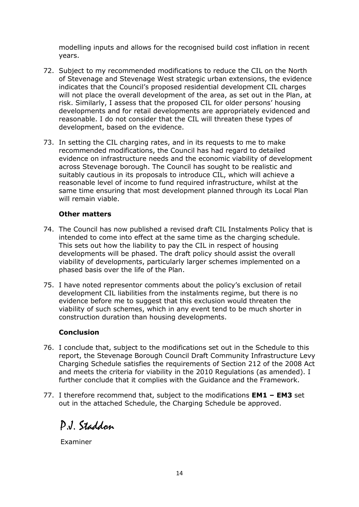modelling inputs and allows for the recognised build cost inflation in recent years.

- 72. Subject to my recommended modifications to reduce the CIL on the North of Stevenage and Stevenage West strategic urban extensions, the evidence indicates that the Council's proposed residential development CIL charges will not place the overall development of the area, as set out in the Plan, at risk. Similarly, I assess that the proposed CIL for older persons' housing developments and for retail developments are appropriately evidenced and reasonable. I do not consider that the CIL will threaten these types of development, based on the evidence.
- 73. In setting the CIL charging rates, and in its requests to me to make recommended modifications, the Council has had regard to detailed evidence on infrastructure needs and the economic viability of development across Stevenage borough. The Council has sought to be realistic and suitably cautious in its proposals to introduce CIL, which will achieve a reasonable level of income to fund required infrastructure, whilst at the same time ensuring that most development planned through its Local Plan will remain viable.

#### **Other matters**

- 74. The Council has now published a revised draft CIL Instalments Policy that is intended to come into effect at the same time as the charging schedule. This sets out how the liability to pay the CIL in respect of housing developments will be phased. The draft policy should assist the overall viability of developments, particularly larger schemes implemented on a phased basis over the life of the Plan.
- 75. I have noted representor comments about the policy's exclusion of retail development CIL liabilities from the instalments regime, but there is no evidence before me to suggest that this exclusion would threaten the viability of such schemes, which in any event tend to be much shorter in construction duration than housing developments.

#### **Conclusion**

- 76. I conclude that, subject to the modifications set out in the Schedule to this report, the Stevenage Borough Council Draft Community Infrastructure Levy Charging Schedule satisfies the requirements of Section 212 of the 2008 Act and meets the criteria for viability in the 2010 Regulations (as amended). I further conclude that it complies with the Guidance and the Framework.
- 77. I therefore recommend that, subject to the modifications **EM1 – EM3** set out in the attached Schedule, the Charging Schedule be approved.

P.J. Staddon

Examiner